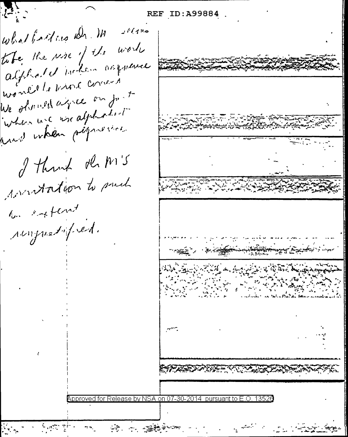REF ID:A99884 what fait we she in  $16420$ take the use of the work alphalet inten asparence wonder to whole convert We observed agree on for to when we use alphobes to proved when personal I think de M'S wontation to prech to extent roupestoped. pproved for Release by NSA on 07-30-2014 pursuant to E.O. 13526

法 一連整